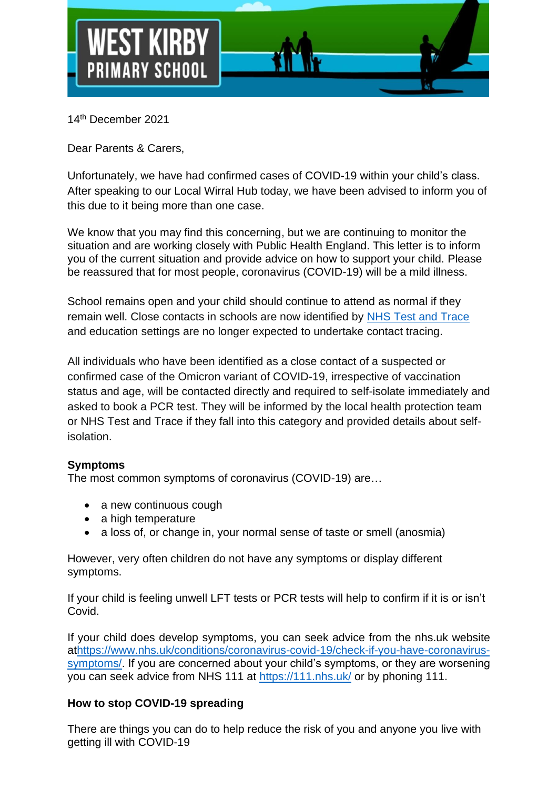

14 th December 2021

Dear Parents & Carers,

Unfortunately, we have had confirmed cases of COVID-19 within your child's class. After speaking to our Local Wirral Hub today, we have been advised to inform you of this due to it being more than one case.

We know that you may find this concerning, but we are continuing to monitor the situation and are working closely with Public Health England. This letter is to inform you of the current situation and provide advice on how to support your child. Please be reassured that for most people, coronavirus (COVID-19) will be a mild illness.

School remains open and your child should continue to attend as normal if they remain well. Close contacts in schools are now identified by [NHS Test and Trace](https://www.gov.uk/guidance/nhs-test-and-trace-how-it-works) and education settings are no longer expected to undertake contact tracing.

All individuals who have been identified as a close contact of a suspected or confirmed case of the Omicron variant of COVID-19, irrespective of vaccination status and age, will be contacted directly and required to self-isolate immediately and asked to book a PCR test. They will be informed by the local health protection team or NHS Test and Trace if they fall into this category and provided details about selfisolation.

## **Symptoms**

The most common symptoms of coronavirus (COVID-19) are…

- a new continuous cough
- a high temperature
- a loss of, or change in, your normal sense of taste or smell (anosmia)

However, very often children do not have any symptoms or display different symptoms.

If your child is feeling unwell LFT tests or PCR tests will help to confirm if it is or isn't Covid.

If your child does develop symptoms, you can seek advice from the nhs.uk website a[thttps://www.nhs.uk/conditions/coronavirus-covid-19/check-if-you-have-coronavirus](https://www.nhs.uk/conditions/coronavirus-covid-19/check-if-you-have-coronavirus-symptoms/)[symptoms/.](https://www.nhs.uk/conditions/coronavirus-covid-19/check-if-you-have-coronavirus-symptoms/) If you are concerned about your child's symptoms, or they are worsening you can seek advice from NHS 111 at<https://111.nhs.uk/> or by phoning 111.

## **How to stop COVID-19 spreading**

There are things you can do to help reduce the risk of you and anyone you live with getting ill with COVID-19